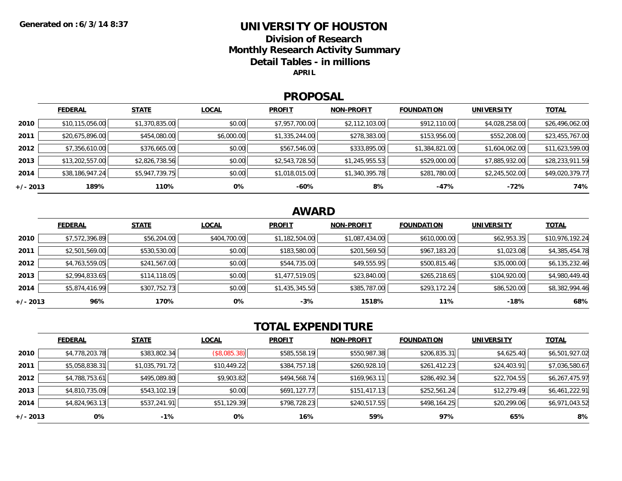### **UNIVERSITY OF HOUSTON**

**Division of ResearchMonthly Research Activity Summary Detail Tables - in millions APRIL**

#### **PROPOSAL**

|            | <b>FEDERAL</b>  | <b>STATE</b>   | <b>LOCAL</b> | <b>PROFIT</b>  | <b>NON-PROFIT</b> | <b>FOUNDATION</b> | <b>UNIVERSITY</b> | <u>TOTAL</u>    |
|------------|-----------------|----------------|--------------|----------------|-------------------|-------------------|-------------------|-----------------|
| 2010       | \$10,115,056.00 | \$1,370,835.00 | \$0.00       | \$7,957,700.00 | \$2,112,103.00    | \$912,110.00      | \$4,028,258.00    | \$26,496,062.00 |
| 2011       | \$20,675,896.00 | \$454,080.00   | \$6,000.00   | \$1,335,244.00 | \$278,383.00      | \$153,956.00      | \$552,208.00      | \$23,455,767.00 |
| 2012       | \$7,356,610.00  | \$376,665.00   | \$0.00       | \$567,546.00   | \$333,895.00      | \$1,384,821.00    | \$1,604,062.00    | \$11,623,599.00 |
| 2013       | \$13,202,557.00 | \$2,826,738.56 | \$0.00       | \$2,543,728.50 | \$1,245,955.53    | \$529,000.00      | \$7,885,932.00    | \$28,233,911.59 |
| 2014       | \$38,186,947.24 | \$5,947,739.75 | \$0.00       | \$1,018,015.00 | \$1,340,395.78    | \$281,780.00      | \$2,245,502.00    | \$49,020,379.77 |
| $+/- 2013$ | 189%            | 110%           | 0%           | -60%           | 8%                | -47%              | -72%              | 74%             |

## **AWARD**

|            | <b>FEDERAL</b> | <b>STATE</b> | <b>LOCAL</b> | <b>PROFIT</b>  | <b>NON-PROFIT</b> | <b>FOUNDATION</b> | <b>UNIVERSITY</b> | <b>TOTAL</b>    |
|------------|----------------|--------------|--------------|----------------|-------------------|-------------------|-------------------|-----------------|
| 2010       | \$7,572,396.89 | \$56,204.00  | \$404,700.00 | \$1,182,504.00 | \$1,087,434.00    | \$610,000.00      | \$62,953.35       | \$10,976,192.24 |
| 2011       | \$2,501,569.00 | \$530,530.00 | \$0.00       | \$183,580.00   | \$201,569.50      | \$967,183.20      | \$1,023.08        | \$4,385,454.78  |
| 2012       | \$4,763,559.05 | \$241,567.00 | \$0.00       | \$544,735.00   | \$49,555.95       | \$500,815.46      | \$35,000.00       | \$6,135,232.46  |
| 2013       | \$2,994,833.65 | \$114,118.05 | \$0.00       | \$1,477,519.05 | \$23,840.00       | \$265,218.65      | \$104,920.00      | \$4,980,449.40  |
| 2014       | \$5,874,416.99 | \$307,752.73 | \$0.00       | \$1,435,345.50 | \$385,787.00      | \$293,172.24      | \$86,520.00       | \$8,382,994.46  |
| $+/- 2013$ | 96%            | 170%         | 0%           | $-3%$          | 1518%             | 11%               | $-18%$            | 68%             |

# **TOTAL EXPENDITURE**

|          | <b>FEDERAL</b> | <b>STATE</b>   | <b>LOCAL</b> | <b>PROFIT</b> | <b>NON-PROFIT</b> | <b>FOUNDATION</b> | <b>UNIVERSITY</b> | <u>TOTAL</u>   |
|----------|----------------|----------------|--------------|---------------|-------------------|-------------------|-------------------|----------------|
| 2010     | \$4,778,203.78 | \$383,802.34   | (\$8,085.38) | \$585,558.19  | \$550,987.38      | \$206,835.31      | \$4,625.40        | \$6,501,927.02 |
| 2011     | \$5,058,838.31 | \$1,035,791.72 | \$10,449.22  | \$384,757.18  | \$260,928.10      | \$261,412.23      | \$24,403.91       | \$7,036,580.67 |
| 2012     | \$4,788,753.61 | \$495,089.80   | \$9,903.82   | \$494,568.74  | \$169,963.11      | \$286,492.34      | \$22,704.55       | \$6,267,475.97 |
| 2013     | \$4,810,735.09 | \$543,102.19   | \$0.00       | \$691,127.77  | \$151,417.13      | \$252,561.24      | \$12,279.49       | \$6,461,222.91 |
| 2014     | \$4,824,963.13 | \$537,241.91   | \$51,129.39  | \$798,728.23  | \$240,517.55      | \$498,164.25      | \$20,299.06       | \$6,971,043.52 |
| +/- 2013 | 0%             | $-1\%$         | 0%           | 16%           | 59%               | 97%               | 65%               | 8%             |